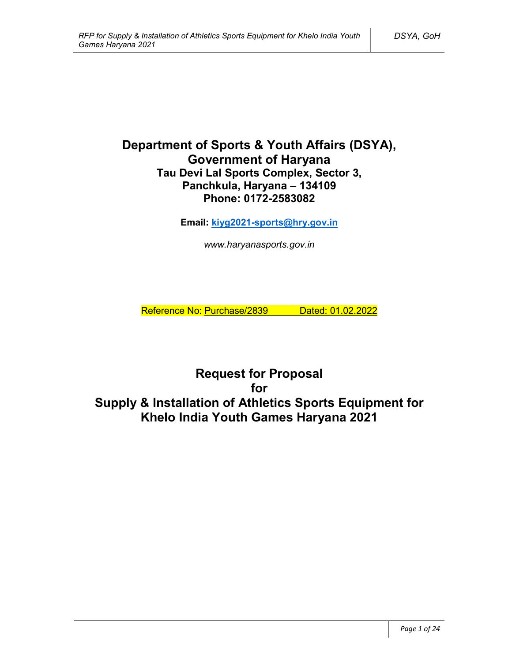# **Department of Sports & Youth Affairs (DSYA), Government of Haryana Tau Devi Lal Sports Complex, Sector 3, Panchkula, Haryana – 134109 Phone: 0172-2583082**

**Email: kiyg2021-sports@hry.gov.in**

*www.haryanasports.gov.in*

Reference No: Purchase/2839 Dated: 01.02.2022

**Request for Proposal for Supply & Installation of Athletics Sports Equipment for Khelo India Youth Games Haryana 2021**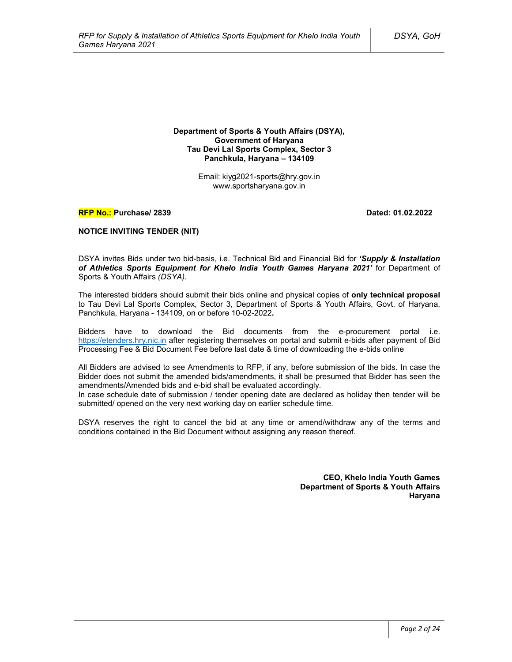**Department of Sports & Youth Affairs (DSYA), Government of Haryana Tau Devi Lal Sports Complex, Sector 3 Panchkula, Haryana – 134109**

> Email: kiyg2021-sports@hry.gov.in www.sportsharyana.gov.in

#### **RFP No.: Purchase/ 2839 Dated: 01.02.2022**

### **NOTICE INVITING TENDER (NIT)**

DSYA invites Bids under two bid-basis, i.e. Technical Bid and Financial Bid for *'Supply & Installation of Athletics Sports Equipment for Khelo India Youth Games Haryana 2021'* for Department of Sports & Youth Affairs *(DSYA)*.

The interested bidders should submit their bids online and physical copies of **only technical proposal** to Tau Devi Lal Sports Complex, Sector 3, Department of Sports & Youth Affairs, Govt. of Haryana, Panchkula, Haryana - 134109, on or before 10-02-2022**.**

Bidders have to download the Bid documents from the e-procurement portal i.e. https://etenders.hry.nic.in after registering themselves on portal and submit e-bids after payment of Bid Processing Fee & Bid Document Fee before last date & time of downloading the e-bids online

All Bidders are advised to see Amendments to RFP, if any, before submission of the bids. In case the Bidder does not submit the amended bids/amendments, it shall be presumed that Bidder has seen the amendments/Amended bids and e-bid shall be evaluated accordingly.

In case schedule date of submission / tender opening date are declared as holiday then tender will be submitted/ opened on the very next working day on earlier schedule time.

DSYA reserves the right to cancel the bid at any time or amend/withdraw any of the terms and conditions contained in the Bid Document without assigning any reason thereof.

> **CEO, Khelo India Youth Games Department of Sports & Youth Affairs Haryana**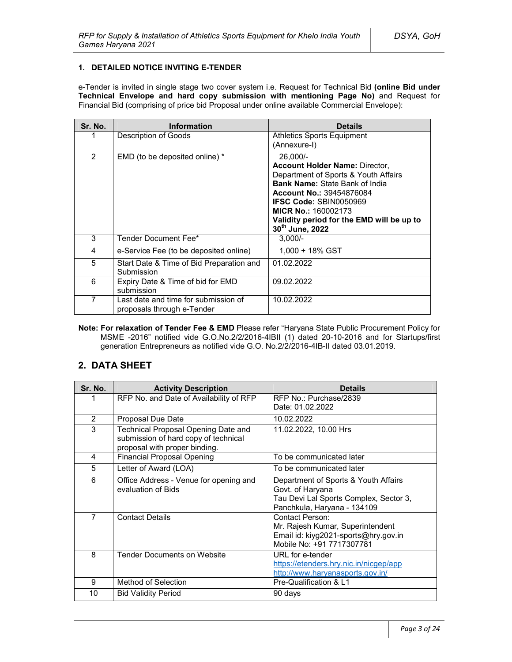### **1. DETAILED NOTICE INVITING E-TENDER**

e-Tender is invited in single stage two cover system i.e. Request for Technical Bid **(online Bid under Technical Envelope and hard copy submission with mentioning Page No)** and Request for Financial Bid (comprising of price bid Proposal under online available Commercial Envelope):

| Sr. No. | <b>Information</b>                                                 | <b>Details</b>                                                                                                                                                                                                                                                                                       |
|---------|--------------------------------------------------------------------|------------------------------------------------------------------------------------------------------------------------------------------------------------------------------------------------------------------------------------------------------------------------------------------------------|
|         | Description of Goods                                               | <b>Athletics Sports Equipment</b><br>(Annexure-I)                                                                                                                                                                                                                                                    |
| 2       | EMD (to be deposited online) *                                     | 26,000/-<br><b>Account Holder Name: Director,</b><br>Department of Sports & Youth Affairs<br><b>Bank Name: State Bank of India</b><br><b>Account No.: 39454876084</b><br><b>IFSC Code: SBIN0050969</b><br><b>MICR No.: 160002173</b><br>Validity period for the EMD will be up to<br>30th June, 2022 |
| 3       | Tender Document Fee*                                               | $3,000/-$                                                                                                                                                                                                                                                                                            |
| 4       | e-Service Fee (to be deposited online)                             | $1.000 + 18\%$ GST                                                                                                                                                                                                                                                                                   |
| 5       | Start Date & Time of Bid Preparation and<br>Submission             | 01.02.2022                                                                                                                                                                                                                                                                                           |
| 6       | Expiry Date & Time of bid for EMD<br>submission                    | 09.02.2022                                                                                                                                                                                                                                                                                           |
| 7       | Last date and time for submission of<br>proposals through e-Tender | 10.02.2022                                                                                                                                                                                                                                                                                           |

**Note: For relaxation of Tender Fee & EMD** Please refer "Haryana State Public Procurement Policy for MSME -2016" notified vide G.O.No.2/2/2016-4IBII (1) dated 20-10-2016 and for Startups/first generation Entrepreneurs as notified vide G.O. No.2/2/2016-4IB-II dated 03.01.2019.

## **2. DATA SHEET**

| Sr. No.        | <b>Activity Description</b>                                                                                  | <b>Details</b>                                                                                                                    |
|----------------|--------------------------------------------------------------------------------------------------------------|-----------------------------------------------------------------------------------------------------------------------------------|
| 1              | RFP No. and Date of Availability of RFP                                                                      | RFP No.: Purchase/2839<br>Date: 01.02.2022                                                                                        |
| $\overline{2}$ | Proposal Due Date                                                                                            | 10.02.2022                                                                                                                        |
| 3              | Technical Proposal Opening Date and<br>submission of hard copy of technical<br>proposal with proper binding. | 11.02.2022, 10.00 Hrs                                                                                                             |
| 4              | <b>Financial Proposal Opening</b>                                                                            | To be communicated later                                                                                                          |
| 5              | Letter of Award (LOA)                                                                                        | To be communicated later                                                                                                          |
| 6              | Office Address - Venue for opening and<br>evaluation of Bids                                                 | Department of Sports & Youth Affairs<br>Govt. of Haryana<br>Tau Devi Lal Sports Complex, Sector 3,<br>Panchkula, Haryana - 134109 |
| 7              | <b>Contact Details</b>                                                                                       | Contact Person:<br>Mr. Rajesh Kumar, Superintendent<br>Email id: kiyg2021-sports@hry.gov.in<br>Mobile No: +91 7717307781          |
| 8              | <b>Tender Documents on Website</b>                                                                           | URL for e-tender<br>https://etenders.hry.nic.in/nicgep/app<br>http://www.haryanasports.gov.in/                                    |
| 9              | Method of Selection                                                                                          | Pre-Qualification & L1                                                                                                            |
| 10             | <b>Bid Validity Period</b>                                                                                   | 90 days                                                                                                                           |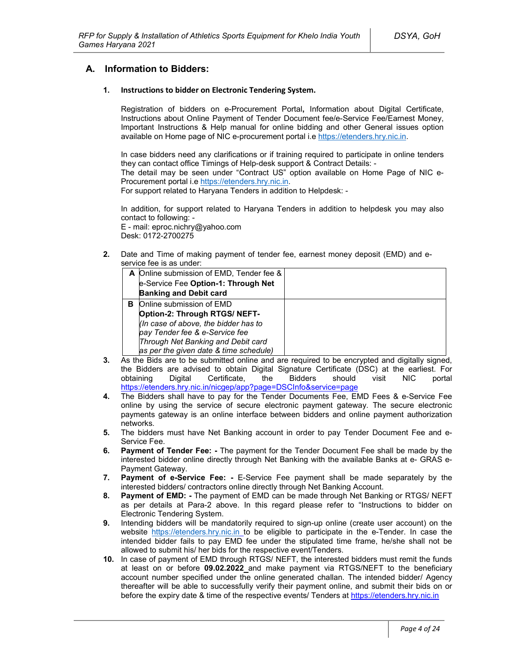## **A. Information to Bidders:**

#### **1. Instructions to bidder on Electronic Tendering System.**

Registration of bidders on e-Procurement Portal**,** Information about Digital Certificate, Instructions about Online Payment of Tender Document fee/e-Service Fee/Earnest Money, Important Instructions & Help manual for online bidding and other General issues option available on Home page of NIC e-procurement portal i.e https://etenders.hry.nic.in.

In case bidders need any clarifications or if training required to participate in online tenders they can contact office Timings of Help-desk support & Contract Details: -

The detail may be seen under "Contract US" option available on Home Page of NIC e-Procurement portal i.e https://etenders.hry.nic.in.

For support related to Haryana Tenders in addition to Helpdesk: -

In addition, for support related to Haryana Tenders in addition to helpdesk you may also contact to following: -

E - mail: eproc.nichry@yahoo.com Desk: 0172-2700275

**2.** Date and Time of making payment of tender fee, earnest money deposit (EMD) and eservice fee is as under:

|   | A Online submission of EMD, Tender fee & |  |
|---|------------------------------------------|--|
|   | e-Service Fee Option-1: Through Net      |  |
|   | <b>Banking and Debit card</b>            |  |
| в | Online submission of EMD                 |  |
|   | Option-2: Through RTGS/ NEFT-            |  |
|   | (In case of above, the bidder has to     |  |
|   | pay Tender fee & e-Service fee           |  |
|   | Through Net Banking and Debit card       |  |
|   | as per the given date & time schedule)   |  |

- **3.** As the Bids are to be submitted online and are required to be encrypted and digitally signed, the Bidders are advised to obtain Digital Signature Certificate (DSC) at the earliest. For obtaining Digital Certificate, the Bidders should visit NIC portal https://etenders.hry.nic.in/nicgep/app?page=DSCInfo&service=page
- **4.** The Bidders shall have to pay for the Tender Documents Fee, EMD Fees & e-Service Fee online by using the service of secure electronic payment gateway. The secure electronic payments gateway is an online interface between bidders and online payment authorization networks.
- **5.** The bidders must have Net Banking account in order to pay Tender Document Fee and e-Service Fee.
- **6. Payment of Tender Fee: -** The payment for the Tender Document Fee shall be made by the interested bidder online directly through Net Banking with the available Banks at e- GRAS e-Payment Gateway.
- **7. Payment of e-Service Fee: -** E-Service Fee payment shall be made separately by the interested bidders/ contractors online directly through Net Banking Account.
- **8. Payment of EMD: -** The payment of EMD can be made through Net Banking or RTGS/ NEFT as per details at Para-2 above. In this regard please refer to "Instructions to bidder on Electronic Tendering System.
- **9.** Intending bidders will be mandatorily required to sign-up online (create user account) on the website https://etenders.hry.nic.in to be eligible to participate in the e-Tender. In case the intended bidder fails to pay EMD fee under the stipulated time frame, he/she shall not be allowed to submit his/ her bids for the respective event/Tenders.
- **10.** In case of payment of EMD through RTGS/ NEFT, the interested bidders must remit the funds at least on or before **09.02.2022** and make payment via RTGS/NEFT to the beneficiary account number specified under the online generated challan. The intended bidder/ Agency thereafter will be able to successfully verify their payment online, and submit their bids on or before the expiry date & time of the respective events/ Tenders at https://etenders.hry.nic.in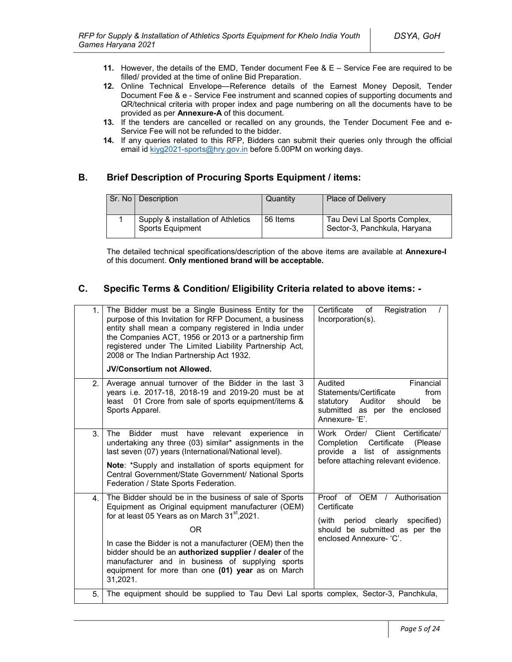- **11.** However, the details of the EMD, Tender document Fee & E Service Fee are required to be filled/ provided at the time of online Bid Preparation.
- **12.** Online Technical Envelope—Reference details of the Earnest Money Deposit, Tender Document Fee & e - Service Fee instrument and scanned copies of supporting documents and QR/technical criteria with proper index and page numbering on all the documents have to be provided as per **Annexure-A** of this document.
- **13.** If the tenders are cancelled or recalled on any grounds, the Tender Document Fee and e-Service Fee will not be refunded to the bidder.
- **14.** If any queries related to this RFP, Bidders can submit their queries only through the official email id kiyg2021-sports@hry.gov.in before 5.00PM on working days.

# **B. Brief Description of Procuring Sports Equipment / items:**

| Sr. No   Description                                   | Quantity | <b>Place of Delivery</b>                                     |
|--------------------------------------------------------|----------|--------------------------------------------------------------|
| Supply & installation of Athletics<br>Sports Equipment | 56 Items | Tau Devi Lal Sports Complex,<br>Sector-3, Panchkula, Haryana |

The detailed technical specifications/description of the above items are available at **Annexure-I** of this document. **Only mentioned brand will be acceptable.**

# **C. Specific Terms & Condition/ Eligibility Criteria related to above items: -**

| 1.             | The Bidder must be a Single Business Entity for the<br>purpose of this Invitation for RFP Document, a business<br>entity shall mean a company registered in India under<br>the Companies ACT, 1956 or 2013 or a partnership firm<br>registered under The Limited Liability Partnership Act,<br>2008 or The Indian Partnership Act 1932.<br><b>JV/Consortium not Allowed.</b>                                                       | Certificate<br>Registration<br>of<br>Incorporation(s).                                                                                               |
|----------------|------------------------------------------------------------------------------------------------------------------------------------------------------------------------------------------------------------------------------------------------------------------------------------------------------------------------------------------------------------------------------------------------------------------------------------|------------------------------------------------------------------------------------------------------------------------------------------------------|
| 2 <sup>2</sup> | Average annual turnover of the Bidder in the last 3<br>years i.e. 2017-18, 2018-19 and 2019-20 must be at<br>01 Crore from sale of sports equipment/items &<br>least<br>Sports Apparel.                                                                                                                                                                                                                                            | Audited<br>Financial<br>Statements/Certificate<br>from<br>be<br>statutory<br>Auditor<br>should<br>submitted as per the enclosed<br>Annexure-'E'.     |
| 3.             | <b>Bidder</b><br>relevant<br>The<br>must<br>have<br>experience<br>in.<br>undertaking any three (03) similar* assignments in the<br>last seven (07) years (International/National level).<br>Note: *Supply and installation of sports equipment for<br>Central Government/State Government/ National Sports<br>Federation / State Sports Federation.                                                                                | Work Order/ Client Certificate/<br>Certificate<br>Completion<br>(Please)<br>provide a list of assignments<br>before attaching relevant evidence.     |
| 4 <sup>1</sup> | The Bidder should be in the business of sale of Sports<br>Equipment as Original equipment manufacturer (OEM)<br>for at least 05 Years as on March 31 <sup>st</sup> , 2021.<br><b>OR</b><br>In case the Bidder is not a manufacturer (OEM) then the<br>bidder should be an authorized supplier / dealer of the<br>manufacturer and in business of supplying sports<br>equipment for more than one (01) year as on March<br>31,2021. | Proof of OEM / Authorisation<br>Certificate<br>clearly<br>specified)<br>(with<br>period<br>should be submitted as per the<br>enclosed Annexure- 'C'. |
| 5.             | The equipment should be supplied to Tau Devi Lal sports complex, Sector-3, Panchkula,                                                                                                                                                                                                                                                                                                                                              |                                                                                                                                                      |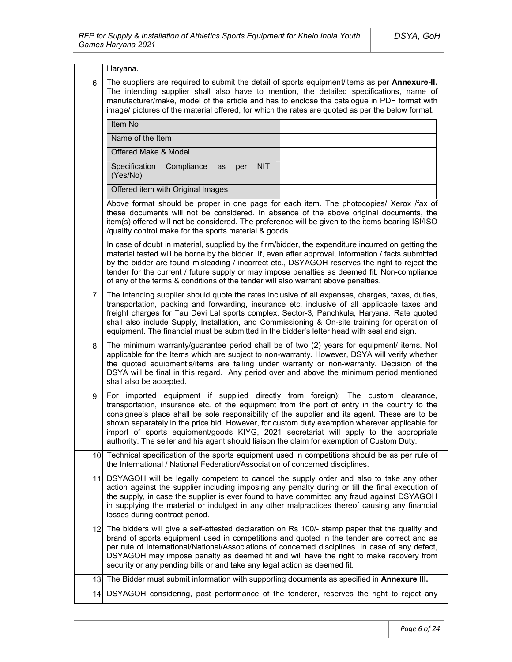|     | Haryana.                                                                                                                                                                                                                                                                                                                                                                                                                                                                                                                                                                  |  |  |  |  |
|-----|---------------------------------------------------------------------------------------------------------------------------------------------------------------------------------------------------------------------------------------------------------------------------------------------------------------------------------------------------------------------------------------------------------------------------------------------------------------------------------------------------------------------------------------------------------------------------|--|--|--|--|
| 6.  | The suppliers are required to submit the detail of sports equipment/items as per Annexure-II.<br>The intending supplier shall also have to mention, the detailed specifications, name of<br>manufacturer/make, model of the article and has to enclose the catalogue in PDF format with<br>image/ pictures of the material offered, for which the rates are quoted as per the below format.                                                                                                                                                                               |  |  |  |  |
|     | Item No                                                                                                                                                                                                                                                                                                                                                                                                                                                                                                                                                                   |  |  |  |  |
|     | Name of the Item                                                                                                                                                                                                                                                                                                                                                                                                                                                                                                                                                          |  |  |  |  |
|     | Offered Make & Model                                                                                                                                                                                                                                                                                                                                                                                                                                                                                                                                                      |  |  |  |  |
|     | Specification<br>Compliance<br><b>NIT</b><br>as<br>per<br>(Yes/No)                                                                                                                                                                                                                                                                                                                                                                                                                                                                                                        |  |  |  |  |
|     | Offered item with Original Images                                                                                                                                                                                                                                                                                                                                                                                                                                                                                                                                         |  |  |  |  |
|     | Above format should be proper in one page for each item. The photocopies/ Xerox /fax of<br>these documents will not be considered. In absence of the above original documents, the<br>item(s) offered will not be considered. The preference will be given to the items bearing ISI/ISO<br>/quality control make for the sports material & goods.                                                                                                                                                                                                                         |  |  |  |  |
|     | In case of doubt in material, supplied by the firm/bidder, the expenditure incurred on getting the<br>material tested will be borne by the bidder. If, even after approval, information / facts submitted<br>by the bidder are found misleading / incorrect etc., DSYAGOH reserves the right to reject the<br>tender for the current / future supply or may impose penalties as deemed fit. Non-compliance<br>of any of the terms & conditions of the tender will also warrant above penalties.                                                                           |  |  |  |  |
| 7.  | The intending supplier should quote the rates inclusive of all expenses, charges, taxes, duties,<br>transportation, packing and forwarding, insurance etc. inclusive of all applicable taxes and<br>freight charges for Tau Devi Lal sports complex, Sector-3, Panchkula, Haryana. Rate quoted<br>shall also include Supply, Installation, and Commissioning & On-site training for operation of<br>equipment. The financial must be submitted in the bidder's letter head with seal and sign.                                                                            |  |  |  |  |
| 8.  | The minimum warranty/guarantee period shall be of two (2) years for equipment/ items. Not<br>applicable for the Items which are subject to non-warranty. However, DSYA will verify whether<br>the quoted equipment's/items are falling under warranty or non-warranty. Decision of the<br>DSYA will be final in this regard. Any period over and above the minimum period mentioned<br>shall also be accepted.                                                                                                                                                            |  |  |  |  |
| 9.  | For imported equipment if supplied directly from foreign): The custom clearance,<br>transportation, insurance etc. of the equipment from the port of entry in the country to the<br>consignee's place shall be sole responsibility of the supplier and its agent. These are to be<br>shown separately in the price bid. However, for custom duty exemption wherever applicable for<br>import of sports equipment/goods KIYG, 2021 secretariat will apply to the appropriate<br>authority. The seller and his agent should liaison the claim for exemption of Custom Duty. |  |  |  |  |
| 10. | Technical specification of the sports equipment used in competitions should be as per rule of<br>the International / National Federation/Association of concerned disciplines.                                                                                                                                                                                                                                                                                                                                                                                            |  |  |  |  |
| 111 | DSYAGOH will be legally competent to cancel the supply order and also to take any other<br>action against the supplier including imposing any penalty during or till the final execution of<br>the supply, in case the supplier is ever found to have committed any fraud against DSYAGOH<br>in supplying the material or indulged in any other malpractices thereof causing any financial<br>losses during contract period.                                                                                                                                              |  |  |  |  |
|     | 12. The bidders will give a self-attested declaration on Rs 100/- stamp paper that the quality and<br>brand of sports equipment used in competitions and quoted in the tender are correct and as<br>per rule of International/National/Associations of concerned disciplines. In case of any defect,<br>DSYAGOH may impose penalty as deemed fit and will have the right to make recovery from<br>security or any pending bills or and take any legal action as deemed fit.                                                                                               |  |  |  |  |
| 13. | The Bidder must submit information with supporting documents as specified in Annexure III.                                                                                                                                                                                                                                                                                                                                                                                                                                                                                |  |  |  |  |
|     | 14. DSYAGOH considering, past performance of the tenderer, reserves the right to reject any                                                                                                                                                                                                                                                                                                                                                                                                                                                                               |  |  |  |  |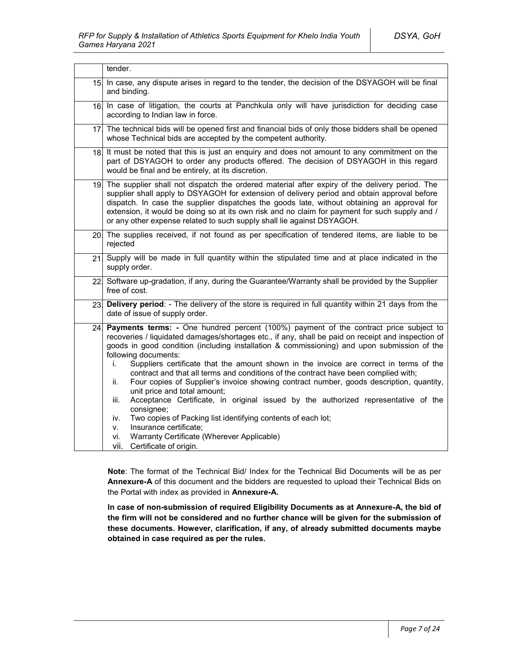|                 | tender.                                                                                                                                                                                                                                                                                                                                                                                                                                                                                                                                                                                                                                                                                                                                                                                                                                                                                                                                               |  |  |
|-----------------|-------------------------------------------------------------------------------------------------------------------------------------------------------------------------------------------------------------------------------------------------------------------------------------------------------------------------------------------------------------------------------------------------------------------------------------------------------------------------------------------------------------------------------------------------------------------------------------------------------------------------------------------------------------------------------------------------------------------------------------------------------------------------------------------------------------------------------------------------------------------------------------------------------------------------------------------------------|--|--|
| 15 <sub>l</sub> | In case, any dispute arises in regard to the tender, the decision of the DSYAGOH will be final<br>and binding.                                                                                                                                                                                                                                                                                                                                                                                                                                                                                                                                                                                                                                                                                                                                                                                                                                        |  |  |
|                 | 16 In case of litigation, the courts at Panchkula only will have jurisdiction for deciding case<br>according to Indian law in force.                                                                                                                                                                                                                                                                                                                                                                                                                                                                                                                                                                                                                                                                                                                                                                                                                  |  |  |
|                 | 17 The technical bids will be opened first and financial bids of only those bidders shall be opened<br>whose Technical bids are accepted by the competent authority.                                                                                                                                                                                                                                                                                                                                                                                                                                                                                                                                                                                                                                                                                                                                                                                  |  |  |
|                 | 18. It must be noted that this is just an enquiry and does not amount to any commitment on the<br>part of DSYAGOH to order any products offered. The decision of DSYAGOH in this regard<br>would be final and be entirely, at its discretion.                                                                                                                                                                                                                                                                                                                                                                                                                                                                                                                                                                                                                                                                                                         |  |  |
|                 | 19. The supplier shall not dispatch the ordered material after expiry of the delivery period. The<br>supplier shall apply to DSYAGOH for extension of delivery period and obtain approval before<br>dispatch. In case the supplier dispatches the goods late, without obtaining an approval for<br>extension, it would be doing so at its own risk and no claim for payment for such supply and /<br>or any other expense related to such supply shall lie against DSYAGOH.                                                                                                                                                                                                                                                                                                                                                                                                                                                                           |  |  |
|                 | 20. The supplies received, if not found as per specification of tendered items, are liable to be<br>rejected                                                                                                                                                                                                                                                                                                                                                                                                                                                                                                                                                                                                                                                                                                                                                                                                                                          |  |  |
| 21.             | Supply will be made in full quantity within the stipulated time and at place indicated in the<br>supply order.                                                                                                                                                                                                                                                                                                                                                                                                                                                                                                                                                                                                                                                                                                                                                                                                                                        |  |  |
|                 | 22 Software up-gradation, if any, during the Guarantee/Warranty shall be provided by the Supplier<br>free of cost.                                                                                                                                                                                                                                                                                                                                                                                                                                                                                                                                                                                                                                                                                                                                                                                                                                    |  |  |
| 23.             | Delivery period: - The delivery of the store is required in full quantity within 21 days from the<br>date of issue of supply order.                                                                                                                                                                                                                                                                                                                                                                                                                                                                                                                                                                                                                                                                                                                                                                                                                   |  |  |
| 24.             | Payments terms: - One hundred percent (100%) payment of the contract price subject to<br>recoveries / liquidated damages/shortages etc., if any, shall be paid on receipt and inspection of<br>goods in good condition (including installation & commissioning) and upon submission of the<br>following documents:<br>Suppliers certificate that the amount shown in the invoice are correct in terms of the<br>i.<br>contract and that all terms and conditions of the contract have been complied with;<br>Four copies of Supplier's invoice showing contract number, goods description, quantity,<br>ii.<br>unit price and total amount;<br>Acceptance Certificate, in original issued by the authorized representative of the<br>iii.<br>consignee;<br>Two copies of Packing list identifying contents of each lot;<br>iv.<br>Insurance certificate;<br>v.<br>Warranty Certificate (Wherever Applicable)<br>vi.<br>vii.<br>Certificate of origin. |  |  |

**Note**: The format of the Technical Bid/ Index for the Technical Bid Documents will be as per **Annexure-A** of this document and the bidders are requested to upload their Technical Bids on the Portal with index as provided in **Annexure-A.**

**In case of non-submission of required Eligibility Documents as at Annexure-A, the bid of the firm will not be considered and no further chance will be given for the submission of these documents. However, clarification, if any, of already submitted documents maybe obtained in case required as per the rules.**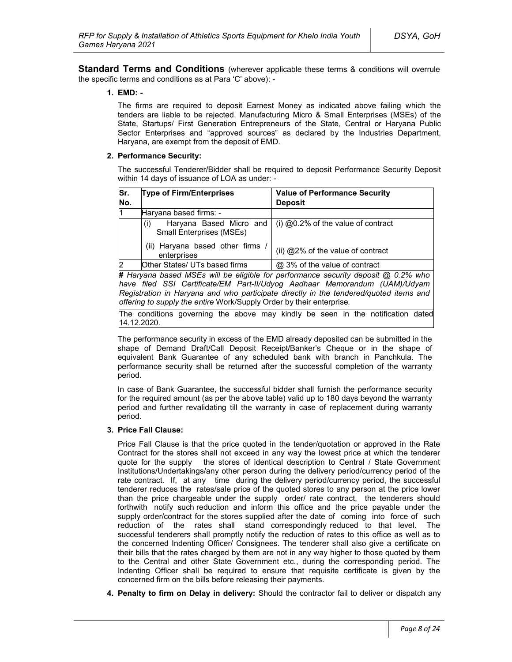**Standard Terms and Conditions** (wherever applicable these terms & conditions will overrule the specific terms and conditions as at Para 'C' above): -

#### **1. EMD: -**

The firms are required to deposit Earnest Money as indicated above failing which the tenders are liable to be rejected. Manufacturing Micro & Small Enterprises (MSEs) of the State, Startups/ First Generation Entrepreneurs of the State, Central or Haryana Public Sector Enterprises and "approved sources" as declared by the Industries Department, Haryana, are exempt from the deposit of EMD.

#### **2. Performance Security:**

The successful Tenderer/Bidder shall be required to deposit Performance Security Deposit within 14 days of issuance of LOA as under: -

| Sr.<br>No.                                                                                 | <b>Type of Firm/Enterprises</b>                                   | <b>Value of Performance Security</b><br><b>Deposit</b> |  |
|--------------------------------------------------------------------------------------------|-------------------------------------------------------------------|--------------------------------------------------------|--|
| l1                                                                                         | Haryana based firms: -                                            |                                                        |  |
|                                                                                            | Haryana Based Micro and<br>(i)<br><b>Small Enterprises (MSEs)</b> | (i) $@0.2\%$ of the value of contract                  |  |
|                                                                                            | (ii) Haryana based other firms<br>enterprises                     | (ii) @2% of the value of contract                      |  |
| 2                                                                                          | Other States/ UTs based firms                                     | @ 3% of the value of contract                          |  |
| <b># Harvana hased MSEs will be eligible for performance security denosit @ 0.2% who l</b> |                                                                   |                                                        |  |

**#** *Haryana based MSEs will be eligible for performance security deposit @ 0.2% who have filed SSI Certificate/EM Part-II/Udyog Aadhaar Memorandum (UAM)/Udyam Registration in Haryana and who participate directly in the tendered/quoted items and offering to supply the entire* Work/Supply Order by their enterprise*.*

The conditions governing the above may kindly be seen in the notification dated 14.12.2020.

The performance security in excess of the EMD already deposited can be submitted in the shape of Demand Draft/Call Deposit Receipt/Banker's Cheque or in the shape of equivalent Bank Guarantee of any scheduled bank with branch in Panchkula. The performance security shall be returned after the successful completion of the warranty period.

In case of Bank Guarantee, the successful bidder shall furnish the performance security for the required amount (as per the above table) valid up to 180 days beyond the warranty period and further revalidating till the warranty in case of replacement during warranty period.

#### **3. Price Fall Clause:**

Price Fall Clause is that the price quoted in the tender/quotation or approved in the Rate Contract for the stores shall not exceed in any way the lowest price at which the tenderer quote for the supply the stores of identical description to Central / State Government Institutions/Undertakings/any other person during the delivery period/currency period of the rate contract. If, at any time during the delivery period/currency period, the successful tenderer reduces the rates/sale price of the quoted stores to any person at the price lower than the price chargeable under the supply order/ rate contract, the tenderers should forthwith notify such reduction and inform this office and the price payable under the supply order/contract for the stores supplied after the date of coming into force of such reduction of the rates shall stand correspondingly reduced to that level. The successful tenderers shall promptly notify the reduction of rates to this office as well as to the concerned Indenting Officer/ Consignees. The tenderer shall also give a certificate on their bills that the rates charged by them are not in any way higher to those quoted by them to the Central and other State Government etc., during the corresponding period. The Indenting Officer shall be required to ensure that requisite certificate is given by the concerned firm on the bills before releasing their payments.

**4. Penalty to firm on Delay in delivery:** Should the contractor fail to deliver or dispatch any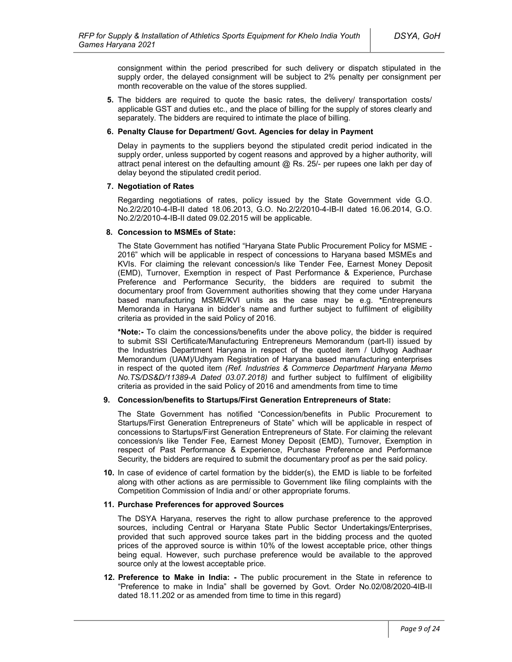consignment within the period prescribed for such delivery or dispatch stipulated in the supply order, the delayed consignment will be subject to 2% penalty per consignment per month recoverable on the value of the stores supplied.

**5.** The bidders are required to quote the basic rates, the delivery/ transportation costs/ applicable GST and duties etc., and the place of billing for the supply of stores clearly and separately. The bidders are required to intimate the place of billing.

#### **6. Penalty Clause for Department/ Govt. Agencies for delay in Payment**

Delay in payments to the suppliers beyond the stipulated credit period indicated in the supply order, unless supported by cogent reasons and approved by a higher authority, will attract penal interest on the defaulting amount  $@$  Rs. 25/- per rupees one lakh per day of delay beyond the stipulated credit period.

#### **7. Negotiation of Rates**

Regarding negotiations of rates, policy issued by the State Government vide G.O. No.2/2/2010-4-IB-II dated 18.06.2013, G.O. No.2/2/2010-4-IB-II dated 16.06.2014, G.O. No.2/2/2010-4-IB-II dated 09.02.2015 will be applicable.

#### **8. Concession to MSMEs of State:**

The State Government has notified "Haryana State Public Procurement Policy for MSME - 2016" which will be applicable in respect of concessions to Haryana based MSMEs and KVIs. For claiming the relevant concession/s like Tender Fee, Earnest Money Deposit (EMD), Turnover, Exemption in respect of Past Performance & Experience, Purchase Preference and Performance Security, the bidders are required to submit the documentary proof from Government authorities showing that they come under Haryana based manufacturing MSME/KVI units as the case may be e.g. **\***Entrepreneurs Memoranda in Haryana in bidder's name and further subject to fulfilment of eligibility criteria as provided in the said Policy of 2016.

**\*Note:-** To claim the concessions/benefits under the above policy, the bidder is required to submit SSI Certificate/Manufacturing Entrepreneurs Memorandum (part-II) issued by the Industries Department Haryana in respect of the quoted item / Udhyog Aadhaar Memorandum (UAM)/Udhyam Registration of Haryana based manufacturing enterprises in respect of the quoted item *(Ref. Industries & Commerce Department Haryana Memo No.TS/DS&D/11389-A Dated 03.07.2018)* and further subject to fulfilment of eligibility criteria as provided in the said Policy of 2016 and amendments from time to time

### **9. Concession/benefits to Startups/First Generation Entrepreneurs of State:**

The State Government has notified "Concession/benefits in Public Procurement to Startups/First Generation Entrepreneurs of State" which will be applicable in respect of concessions to Startups/First Generation Entrepreneurs of State. For claiming the relevant concession/s like Tender Fee, Earnest Money Deposit (EMD), Turnover, Exemption in respect of Past Performance & Experience, Purchase Preference and Performance Security, the bidders are required to submit the documentary proof as per the said policy.

**10.** In case of evidence of cartel formation by the bidder(s), the EMD is liable to be forfeited along with other actions as are permissible to Government like filing complaints with the Competition Commission of India and/ or other appropriate forums.

#### **11. Purchase Preferences for approved Sources**

The DSYA Haryana, reserves the right to allow purchase preference to the approved sources, including Central or Haryana State Public Sector Undertakings/Enterprises, provided that such approved source takes part in the bidding process and the quoted prices of the approved source is within 10% of the lowest acceptable price, other things being equal. However, such purchase preference would be available to the approved source only at the lowest acceptable price.

**12. Preference to Make in India: -** The public procurement in the State in reference to "Preference to make in India" shall be governed by Govt. Order No.02/08/2020-4IB-II dated 18.11.202 or as amended from time to time in this regard)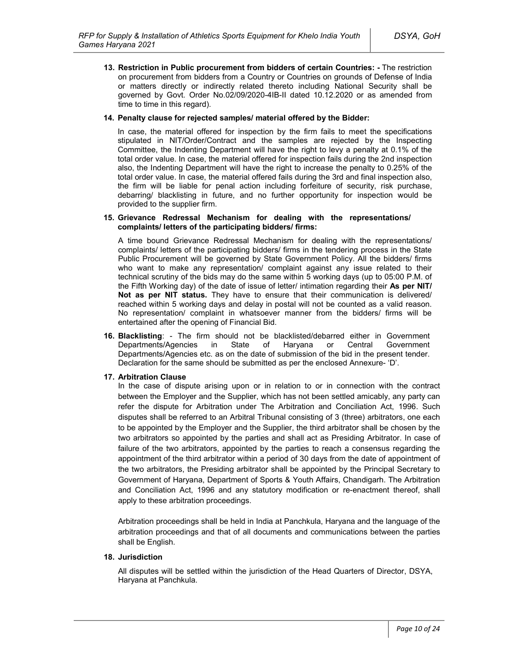**13. Restriction in Public procurement from bidders of certain Countries: -** The restriction on procurement from bidders from a Country or Countries on grounds of Defense of India or matters directly or indirectly related thereto including National Security shall be governed by Govt. Order No.02/09/2020-4IB-II dated 10.12.2020 or as amended from time to time in this regard).

#### **14. Penalty clause for rejected samples/ material offered by the Bidder:**

In case, the material offered for inspection by the firm fails to meet the specifications stipulated in NIT/Order/Contract and the samples are rejected by the Inspecting Committee, the Indenting Department will have the right to levy a penalty at 0.1% of the total order value. In case, the material offered for inspection fails during the 2nd inspection also, the Indenting Department will have the right to increase the penalty to 0.25% of the total order value. In case, the material offered fails during the 3rd and final inspection also, the firm will be liable for penal action including forfeiture of security, risk purchase, debarring/ blacklisting in future, and no further opportunity for inspection would be provided to the supplier firm.

#### **15. Grievance Redressal Mechanism for dealing with the representations/ complaints/ letters of the participating bidders/ firms:**

A time bound Grievance Redressal Mechanism for dealing with the representations/ complaints/ letters of the participating bidders/ firms in the tendering process in the State Public Procurement will be governed by State Government Policy. All the bidders/ firms who want to make any representation/ complaint against any issue related to their technical scrutiny of the bids may do the same within 5 working days (up to 05:00 P.M. of the Fifth Working day) of the date of issue of letter/ intimation regarding their **As per NIT/ Not as per NIT status.** They have to ensure that their communication is delivered/ reached within 5 working days and delay in postal will not be counted as a valid reason. No representation/ complaint in whatsoever manner from the bidders/ firms will be entertained after the opening of Financial Bid.

**16. Blacklisting**: - The firm should not be blacklisted/debarred either in Government Departments/Agencies in State of Haryana or Central Government Departments/Agencies etc. as on the date of submission of the bid in the present tender. Declaration for the same should be submitted as per the enclosed Annexure- 'D'.

### **17. Arbitration Clause**

In the case of dispute arising upon or in relation to or in connection with the contract between the Employer and the Supplier, which has not been settled amicably, any party can refer the dispute for Arbitration under The Arbitration and Conciliation Act, 1996. Such disputes shall be referred to an Arbitral Tribunal consisting of 3 (three) arbitrators, one each to be appointed by the Employer and the Supplier, the third arbitrator shall be chosen by the two arbitrators so appointed by the parties and shall act as Presiding Arbitrator. In case of failure of the two arbitrators, appointed by the parties to reach a consensus regarding the appointment of the third arbitrator within a period of 30 days from the date of appointment of the two arbitrators, the Presiding arbitrator shall be appointed by the Principal Secretary to Government of Haryana, Department of Sports & Youth Affairs, Chandigarh. The Arbitration and Conciliation Act, 1996 and any statutory modification or re-enactment thereof, shall apply to these arbitration proceedings.

Arbitration proceedings shall be held in India at Panchkula, Haryana and the language of the arbitration proceedings and that of all documents and communications between the parties shall be English.

### **18. Jurisdiction**

All disputes will be settled within the jurisdiction of the Head Quarters of Director, DSYA, Haryana at Panchkula.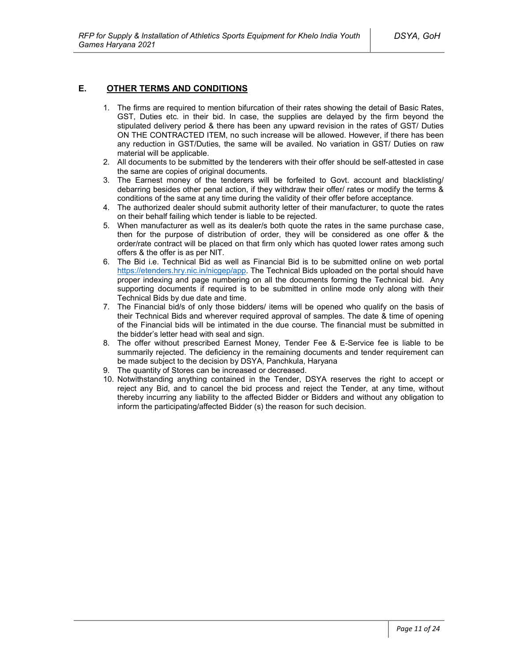### **E. OTHER TERMS AND CONDITIONS**

- 1. The firms are required to mention bifurcation of their rates showing the detail of Basic Rates, GST, Duties etc. in their bid. In case, the supplies are delayed by the firm beyond the stipulated delivery period & there has been any upward revision in the rates of GST/ Duties ON THE CONTRACTED ITEM, no such increase will be allowed. However, if there has been any reduction in GST/Duties, the same will be availed. No variation in GST/ Duties on raw material will be applicable.
- 2. All documents to be submitted by the tenderers with their offer should be self-attested in case the same are copies of original documents.
- 3. The Earnest money of the tenderers will be forfeited to Govt. account and blacklisting/ debarring besides other penal action, if they withdraw their offer/ rates or modify the terms & conditions of the same at any time during the validity of their offer before acceptance.
- 4. The authorized dealer should submit authority letter of their manufacturer, to quote the rates on their behalf failing which tender is liable to be rejected.
- 5. When manufacturer as well as its dealer/s both quote the rates in the same purchase case, then for the purpose of distribution of order, they will be considered as one offer & the order/rate contract will be placed on that firm only which has quoted lower rates among such offers & the offer is as per NIT.
- 6. The Bid i.e. Technical Bid as well as Financial Bid is to be submitted online on web portal https://etenders.hry.nic.in/nicgep/app. The Technical Bids uploaded on the portal should have proper indexing and page numbering on all the documents forming the Technical bid. Any supporting documents if required is to be submitted in online mode only along with their Technical Bids by due date and time.
- 7. The Financial bid/s of only those bidders/ items will be opened who qualify on the basis of their Technical Bids and wherever required approval of samples. The date & time of opening of the Financial bids will be intimated in the due course. The financial must be submitted in the bidder's letter head with seal and sign.
- 8. The offer without prescribed Earnest Money, Tender Fee & E-Service fee is liable to be summarily rejected. The deficiency in the remaining documents and tender requirement can be made subject to the decision by DSYA, Panchkula, Haryana
- 9. The quantity of Stores can be increased or decreased.
- 10. Notwithstanding anything contained in the Tender, DSYA reserves the right to accept or reject any Bid, and to cancel the bid process and reject the Tender, at any time, without thereby incurring any liability to the affected Bidder or Bidders and without any obligation to inform the participating/affected Bidder (s) the reason for such decision.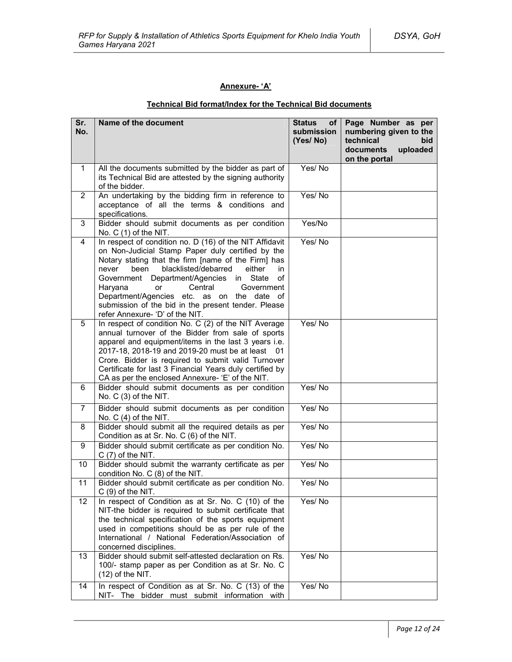### **Annexure- 'A'**

# **Technical Bid format/Index for the Technical Bid documents**

| Sr.<br>No.     | Name of the document                                                                                                                                                                                                                                                                                                                                                                                                                                                            | <b>Status</b><br>оf<br>submission<br>(Yes/No) | Page Number as per<br>numbering given to the<br>technical<br>bid<br>documents<br>uploaded<br>on the portal |
|----------------|---------------------------------------------------------------------------------------------------------------------------------------------------------------------------------------------------------------------------------------------------------------------------------------------------------------------------------------------------------------------------------------------------------------------------------------------------------------------------------|-----------------------------------------------|------------------------------------------------------------------------------------------------------------|
| $\mathbf 1$    | All the documents submitted by the bidder as part of<br>its Technical Bid are attested by the signing authority<br>of the bidder.                                                                                                                                                                                                                                                                                                                                               | Yes/No                                        |                                                                                                            |
| $\overline{2}$ | An undertaking by the bidding firm in reference to<br>acceptance of all the terms & conditions and<br>specifications.                                                                                                                                                                                                                                                                                                                                                           | Yes/No                                        |                                                                                                            |
| 3              | Bidder should submit documents as per condition<br>No. $C(1)$ of the NIT.                                                                                                                                                                                                                                                                                                                                                                                                       | Yes/No                                        |                                                                                                            |
| 4              | In respect of condition no. D (16) of the NIT Affidavit<br>on Non-Judicial Stamp Paper duly certified by the<br>Notary stating that the firm [name of the Firm] has<br>blacklisted/debarred<br>been<br>either<br>in<br>never<br>Department/Agencies<br>in<br>State<br>of<br>Government<br>Haryana<br>Central<br><b>or</b><br>Government<br>Department/Agencies etc. as on the date of<br>submission of the bid in the present tender. Please<br>refer Annexure- 'D' of the NIT. | Yes/No                                        |                                                                                                            |
| 5              | In respect of condition No. C (2) of the NIT Average<br>annual turnover of the Bidder from sale of sports<br>apparel and equipment/items in the last 3 years i.e.<br>2017-18, 2018-19 and 2019-20 must be at least 01<br>Crore. Bidder is required to submit valid Turnover<br>Certificate for last 3 Financial Years duly certified by<br>CA as per the enclosed Annexure- 'E' of the NIT.                                                                                     | Yes/No                                        |                                                                                                            |
| 6              | Bidder should submit documents as per condition<br>No. C (3) of the NIT.                                                                                                                                                                                                                                                                                                                                                                                                        | Yes/No                                        |                                                                                                            |
| $\overline{7}$ | Bidder should submit documents as per condition<br>No. $C(4)$ of the NIT.                                                                                                                                                                                                                                                                                                                                                                                                       | Yes/No                                        |                                                                                                            |
| 8              | Bidder should submit all the required details as per<br>Condition as at Sr. No. C (6) of the NIT.                                                                                                                                                                                                                                                                                                                                                                               | Yes/No                                        |                                                                                                            |
| 9              | Bidder should submit certificate as per condition No.<br>$C(7)$ of the NIT.                                                                                                                                                                                                                                                                                                                                                                                                     | Yes/No                                        |                                                                                                            |
| 10             | Bidder should submit the warranty certificate as per<br>condition No. C (8) of the NIT.                                                                                                                                                                                                                                                                                                                                                                                         | Yes/No                                        |                                                                                                            |
| 11             | Bidder should submit certificate as per condition No.<br>$C(9)$ of the NIT.                                                                                                                                                                                                                                                                                                                                                                                                     | Yes/No                                        |                                                                                                            |
| 12             | In respect of Condition as at Sr. No. C (10) of the<br>NIT-the bidder is required to submit certificate that<br>the technical specification of the sports equipment<br>used in competitions should be as per rule of the<br>International / National Federation/Association of<br>concerned disciplines.                                                                                                                                                                        | Yes/No                                        |                                                                                                            |
| 13             | Bidder should submit self-attested declaration on Rs.<br>100/- stamp paper as per Condition as at Sr. No. C<br>$(12)$ of the NIT.                                                                                                                                                                                                                                                                                                                                               | Yes/No                                        |                                                                                                            |
| 14             | In respect of Condition as at Sr. No. C (13) of the<br>NIT- The bidder must submit information with                                                                                                                                                                                                                                                                                                                                                                             | Yes/No                                        |                                                                                                            |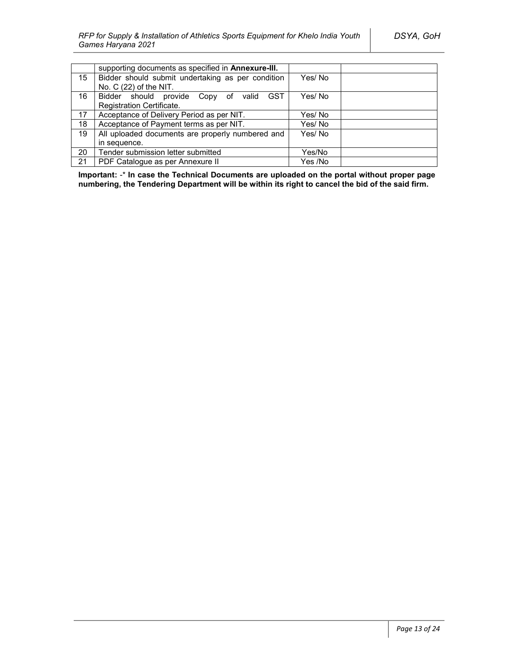|    | supporting documents as specified in Annexure-III. |         |  |
|----|----------------------------------------------------|---------|--|
| 15 | Bidder should submit undertaking as per condition  | Yes/No  |  |
|    | No. C (22) of the NIT.                             |         |  |
| 16 | Bidder should provide Copy of valid<br><b>GST</b>  | Yes/No  |  |
|    | Registration Certificate.                          |         |  |
| 17 | Acceptance of Delivery Period as per NIT.          | Yes/ No |  |
| 18 | Acceptance of Payment terms as per NIT.            | Yes/No  |  |
| 19 | All uploaded documents are properly numbered and   | Yes/No  |  |
|    | in sequence.                                       |         |  |
| 20 | Tender submission letter submitted                 | Yes/No  |  |
| 21 | PDF Catalogue as per Annexure II                   | Yes /No |  |

**Important:** -\* **In case the Technical Documents are uploaded on the portal without proper page numbering, the Tendering Department will be within its right to cancel the bid of the said firm.**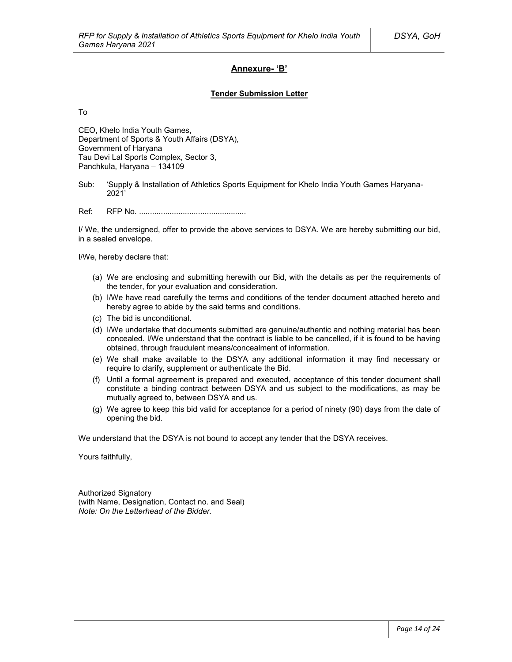### **Annexure- 'B'**

#### **Tender Submission Letter**

To

CEO, Khelo India Youth Games, Department of Sports & Youth Affairs (DSYA), Government of Haryana Tau Devi Lal Sports Complex, Sector 3, Panchkula, Haryana – 134109

Sub: 'Supply & Installation of Athletics Sports Equipment for Khelo India Youth Games Haryana-2021'

Ref: RFP No. .................................................

I/ We, the undersigned, offer to provide the above services to DSYA. We are hereby submitting our bid, in a sealed envelope.

I/We, hereby declare that:

- (a) We are enclosing and submitting herewith our Bid, with the details as per the requirements of the tender, for your evaluation and consideration.
- (b) I/We have read carefully the terms and conditions of the tender document attached hereto and hereby agree to abide by the said terms and conditions.
- (c) The bid is unconditional.
- (d) I/We undertake that documents submitted are genuine/authentic and nothing material has been concealed. I/We understand that the contract is liable to be cancelled, if it is found to be having obtained, through fraudulent means/concealment of information.
- (e) We shall make available to the DSYA any additional information it may find necessary or require to clarify, supplement or authenticate the Bid.
- (f) Until a formal agreement is prepared and executed, acceptance of this tender document shall constitute a binding contract between DSYA and us subject to the modifications, as may be mutually agreed to, between DSYA and us.
- (g) We agree to keep this bid valid for acceptance for a period of ninety (90) days from the date of opening the bid.

We understand that the DSYA is not bound to accept any tender that the DSYA receives.

Yours faithfully,

Authorized Signatory (with Name, Designation, Contact no. and Seal) *Note: On the Letterhead of the Bidder.*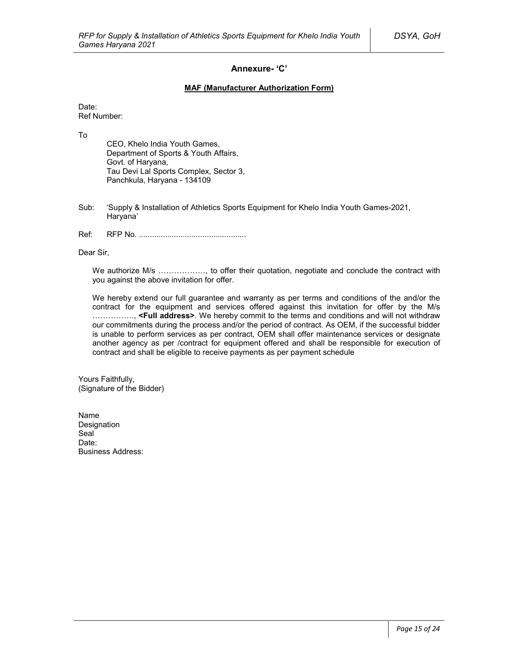### **Annexure- 'C'**

### **MAF (Manufacturer Authorization Form)**

Date: Ref Number:

To

CEO, Khelo India Youth Games, Department of Sports & Youth Affairs, Govt. of Haryana, Tau Devi Lal Sports Complex, Sector 3, Panchkula, Haryana - 134109

- Sub: 'Supply & Installation of Athletics Sports Equipment for Khelo India Youth Games-2021, Haryana'
- Ref: RFP No. .................................................

Dear Sir,

We authorize M/s ................., to offer their quotation, negotiate and conclude the contract with you against the above invitation for offer.

We hereby extend our full guarantee and warranty as per terms and conditions of the and/or the contract for the equipment and services offered against this invitation for offer by the M/s ……………., **<Full address>**. We hereby commit to the terms and conditions and will not withdraw our commitments during the process and/or the period of contract. As OEM, if the successful bidder is unable to perform services as per contract, OEM shall offer maintenance services or designate another agency as per /contract for equipment offered and shall be responsible for execution of contract and shall be eligible to receive payments as per payment schedule

Yours Faithfully, (Signature of the Bidder)

Name Designation Seal<sup>1</sup> Date: Business Address: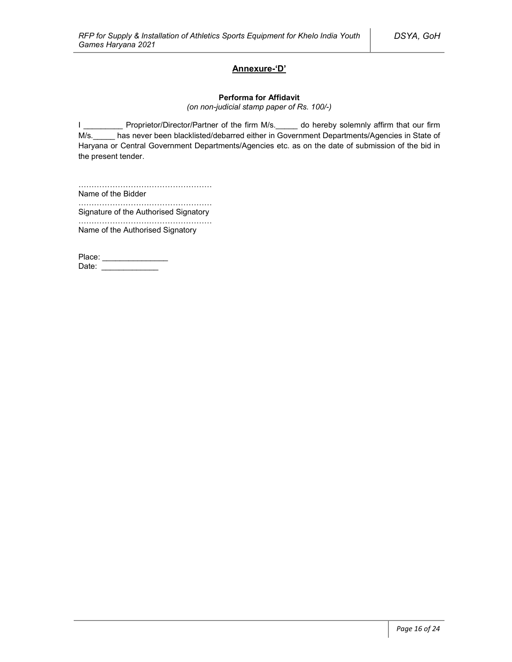### **Annexure-'D'**

#### **Performa for Affidavit**

*(on non-judicial stamp paper of Rs. 100/-)*

I \_\_\_\_\_\_\_\_\_\_ Proprietor/Director/Partner of the firm M/s. \_\_\_\_\_ do hereby solemnly affirm that our firm M/s. has never been blacklisted/debarred either in Government Departments/Agencies in State of Haryana or Central Government Departments/Agencies etc. as on the date of submission of the bid in the present tender.

…………………………………………… Name of the Bidder

…………………………………………………… Signature of the Authorised Signatory

…………………………………………… Name of the Authorised Signatory

Place: \_\_\_\_\_\_\_\_\_\_\_\_\_\_\_\_\_ Date: \_\_\_\_\_\_\_\_\_\_\_\_\_\_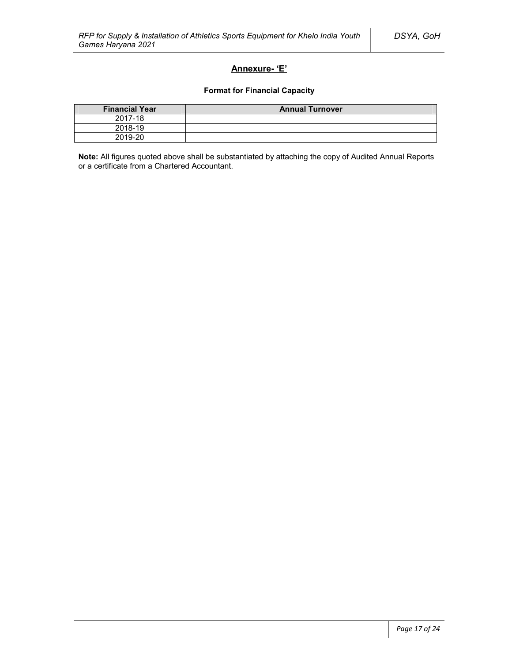### **Annexure- 'E'**

### **Format for Financial Capacity**

| <b>Financial Year</b> | <b>Annual Turnover</b> |
|-----------------------|------------------------|
| 2017-18               |                        |
| 2018-19               |                        |
| 2019-20               |                        |

**Note:** All figures quoted above shall be substantiated by attaching the copy of Audited Annual Reports or a certificate from a Chartered Accountant.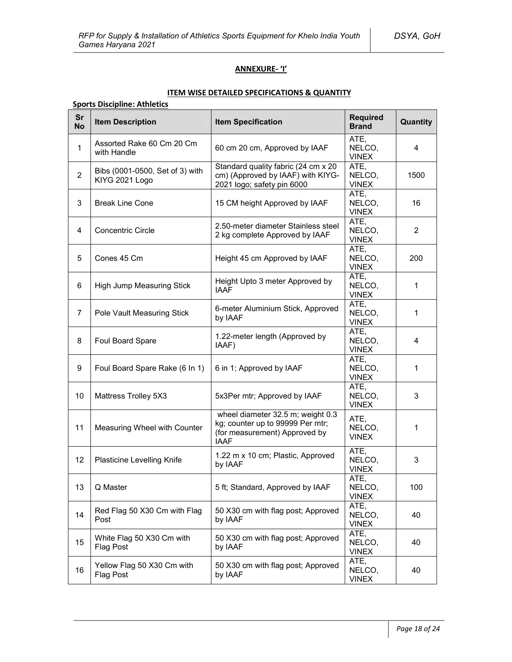### **ANNEXURE- 'I'**

### **ITEM WISE DETAILED SPECIFICATIONS & QUANTITY**

### **Sports Discipline: Athletics**

| Sr<br><b>No</b> | <b>Item Description</b>                           | <b>Item Specification</b>                                                                                             | <b>Required</b><br><b>Brand</b> | Quantity |
|-----------------|---------------------------------------------------|-----------------------------------------------------------------------------------------------------------------------|---------------------------------|----------|
| $\mathbf{1}$    | Assorted Rake 60 Cm 20 Cm<br>with Handle          | 60 cm 20 cm, Approved by IAAF                                                                                         | ATE,<br>NELCO,<br><b>VINEX</b>  | 4        |
| $\overline{2}$  | Bibs (0001-0500, Set of 3) with<br>KIYG 2021 Logo | Standard quality fabric (24 cm x 20<br>cm) (Approved by IAAF) with KIYG-<br>2021 logo; safety pin 6000                | ATE,<br>NELCO,<br><b>VINEX</b>  | 1500     |
| 3               | <b>Break Line Cone</b>                            | 15 CM height Approved by IAAF                                                                                         | ATE,<br>NELCO,<br><b>VINEX</b>  | 16       |
| 4               | <b>Concentric Circle</b>                          | 2.50-meter diameter Stainless steel<br>2 kg complete Approved by IAAF                                                 | ATE,<br>NELCO,<br><b>VINEX</b>  | 2        |
| 5               | Cones 45 Cm                                       | Height 45 cm Approved by IAAF                                                                                         | ATE,<br>NELCO,<br><b>VINEX</b>  | 200      |
| 6               | High Jump Measuring Stick                         | Height Upto 3 meter Approved by<br><b>IAAF</b>                                                                        | ATE,<br>NELCO,<br><b>VINEX</b>  | 1        |
| $\overline{7}$  | Pole Vault Measuring Stick                        | 6-meter Aluminium Stick, Approved<br>by IAAF                                                                          | ATE,<br>NELCO,<br><b>VINEX</b>  | 1        |
| 8               | Foul Board Spare                                  | 1.22-meter length (Approved by<br>IAAF)                                                                               | ATE,<br>NELCO.<br><b>VINEX</b>  | 4        |
| 9               | Foul Board Spare Rake (6 In 1)                    | 6 in 1; Approved by IAAF                                                                                              | ATE,<br>NELCO,<br><b>VINEX</b>  | 1        |
| 10              | Mattress Trolley 5X3                              | 5x3Per mtr; Approved by IAAF                                                                                          | ATE,<br>NELCO,<br><b>VINEX</b>  | 3        |
| 11              | Measuring Wheel with Counter                      | wheel diameter 32.5 m; weight 0.3<br>kg; counter up to 99999 Per mtr;<br>(for measurement) Approved by<br><b>IAAF</b> | ATE,<br>NELCO,<br><b>VINEX</b>  | 1        |
| 12              | <b>Plasticine Levelling Knife</b>                 | 1.22 m x 10 cm; Plastic, Approved<br>by IAAF                                                                          | ATE,<br>NELCO,<br><b>VINEX</b>  | 3        |
| 13              | Q Master                                          | 5 ft; Standard, Approved by IAAF                                                                                      | ATE,<br>NELCO,<br><b>VINEX</b>  | 100      |
| 14              | Red Flag 50 X30 Cm with Flag<br>Post              | 50 X30 cm with flag post; Approved<br>by IAAF                                                                         | ATE,<br>NELCO,<br><b>VINEX</b>  | 40       |
| 15              | White Flag 50 X30 Cm with<br>Flag Post            | 50 X30 cm with flag post; Approved<br>by IAAF                                                                         | ATE,<br>NELCO,<br><b>VINEX</b>  | 40       |
| 16              | Yellow Flag 50 X30 Cm with<br>Flag Post           | 50 X30 cm with flag post; Approved<br>by IAAF                                                                         | ATE,<br>NELCO,<br><b>VINEX</b>  | 40       |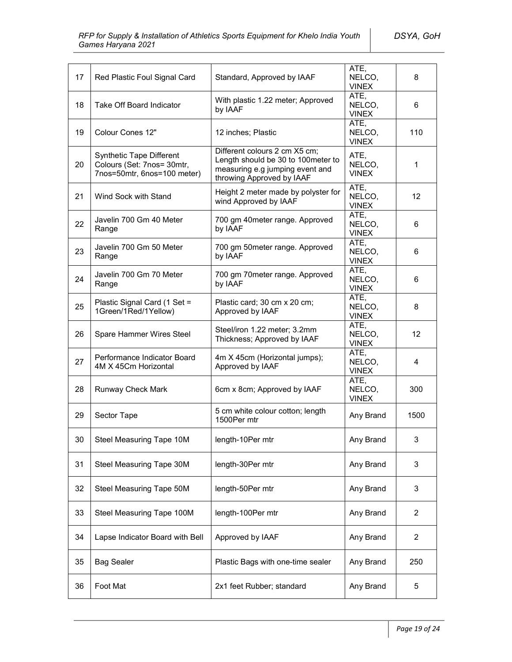*DSYA, GoH*

| 17 | Red Plastic Foul Signal Card                                                          | Standard, Approved by IAAF                                                                                                          | ATE,<br>NELCO,<br><b>VINEX</b> | 8    |
|----|---------------------------------------------------------------------------------------|-------------------------------------------------------------------------------------------------------------------------------------|--------------------------------|------|
| 18 | Take Off Board Indicator                                                              | With plastic 1.22 meter; Approved<br>by IAAF                                                                                        | ATE,<br>NELCO,<br><b>VINEX</b> | 6    |
| 19 | Colour Cones 12"                                                                      | 12 inches; Plastic                                                                                                                  | ATE,<br>NELCO,<br><b>VINEX</b> | 110  |
| 20 | Synthetic Tape Different<br>Colours (Set: 7nos= 30mtr,<br>7nos=50mtr, 6nos=100 meter) | Different colours 2 cm X5 cm;<br>Length should be 30 to 100meter to<br>measuring e.g jumping event and<br>throwing Approved by IAAF | ATE,<br>NELCO,<br><b>VINEX</b> | 1    |
| 21 | Wind Sock with Stand                                                                  | Height 2 meter made by polyster for<br>wind Approved by IAAF                                                                        | ATE,<br>NELCO,<br><b>VINEX</b> | 12   |
| 22 | Javelin 700 Gm 40 Meter<br>Range                                                      | 700 gm 40meter range. Approved<br>by IAAF                                                                                           | ATE,<br>NELCO,<br><b>VINEX</b> | 6    |
| 23 | Javelin 700 Gm 50 Meter<br>Range                                                      | 700 gm 50meter range. Approved<br>by IAAF                                                                                           | ATE,<br>NELCO,<br><b>VINEX</b> | 6    |
| 24 | Javelin 700 Gm 70 Meter<br>Range                                                      | 700 gm 70meter range. Approved<br>by IAAF                                                                                           | ATE,<br>NELCO.<br><b>VINEX</b> | 6    |
| 25 | Plastic Signal Card (1 Set =<br>1Green/1Red/1Yellow)                                  | Plastic card; 30 cm x 20 cm;<br>Approved by IAAF                                                                                    | ATE,<br>NELCO,<br><b>VINEX</b> | 8    |
| 26 | Spare Hammer Wires Steel                                                              | Steel/iron 1.22 meter; 3.2mm<br>Thickness; Approved by IAAF                                                                         | ATE,<br>NELCO,<br><b>VINEX</b> | 12   |
| 27 | Performance Indicator Board<br>4M X 45Cm Horizontal                                   | 4m X 45cm (Horizontal jumps);<br>Approved by IAAF                                                                                   | ATE,<br>NELCO,<br><b>VINEX</b> | 4    |
| 28 | Runway Check Mark                                                                     | 6cm x 8cm; Approved by IAAF                                                                                                         | ATE,<br>NELCO,<br><b>VINEX</b> | 300  |
| 29 | Sector Tape                                                                           | 5 cm white colour cotton; length<br>1500Per mtr                                                                                     | Any Brand                      | 1500 |
| 30 | Steel Measuring Tape 10M                                                              | length-10Per mtr                                                                                                                    | Any Brand                      | 3    |
| 31 | Steel Measuring Tape 30M                                                              | length-30Per mtr                                                                                                                    | Any Brand                      | 3    |
| 32 | Steel Measuring Tape 50M                                                              | length-50Per mtr                                                                                                                    | Any Brand                      | 3    |
| 33 | Steel Measuring Tape 100M                                                             | length-100Per mtr                                                                                                                   | Any Brand                      | 2    |
| 34 | Lapse Indicator Board with Bell                                                       | Approved by IAAF                                                                                                                    | Any Brand                      | 2    |
| 35 | <b>Bag Sealer</b>                                                                     | Plastic Bags with one-time sealer                                                                                                   | Any Brand                      | 250  |
| 36 | Foot Mat                                                                              | 2x1 feet Rubber; standard                                                                                                           | Any Brand                      | 5    |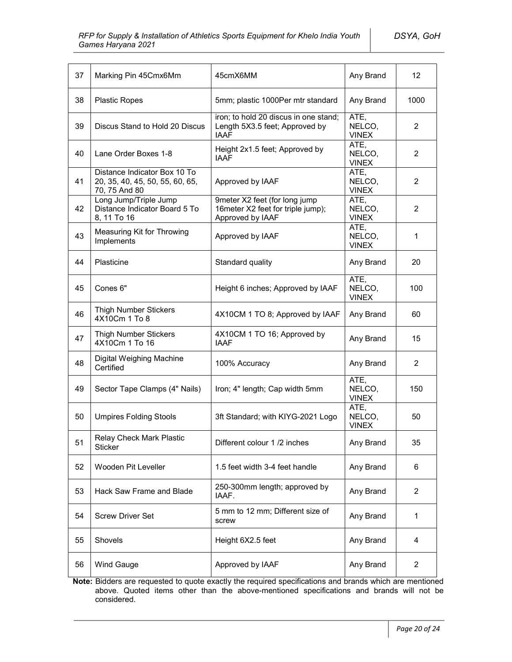| 37 | Marking Pin 45Cmx6Mm                                                             | 45cmX6MM                                                                               | Any Brand                      | 12 <sup>2</sup> |
|----|----------------------------------------------------------------------------------|----------------------------------------------------------------------------------------|--------------------------------|-----------------|
| 38 | <b>Plastic Ropes</b>                                                             | 5mm; plastic 1000Per mtr standard                                                      | Any Brand                      | 1000            |
| 39 | Discus Stand to Hold 20 Discus                                                   | iron; to hold 20 discus in one stand;<br>Length 5X3.5 feet; Approved by<br><b>IAAF</b> | ATE,<br>NELCO,<br><b>VINEX</b> | $\overline{2}$  |
| 40 | Lane Order Boxes 1-8                                                             | Height 2x1.5 feet; Approved by<br><b>IAAF</b>                                          | ATE,<br>NELCO,<br><b>VINEX</b> | $\overline{2}$  |
| 41 | Distance Indicator Box 10 To<br>20, 35, 40, 45, 50, 55, 60, 65,<br>70, 75 And 80 | Approved by IAAF                                                                       | ATE,<br>NELCO,<br><b>VINEX</b> | 2               |
| 42 | Long Jump/Triple Jump<br>Distance Indicator Board 5 To<br>8, 11 To 16            | 9meter X2 feet (for long jump<br>16meter X2 feet for triple jump);<br>Approved by IAAF | ATE,<br>NELCO,<br><b>VINEX</b> | 2               |
| 43 | Measuring Kit for Throwing<br>Implements                                         | Approved by IAAF                                                                       | ATE,<br>NELCO,<br><b>VINEX</b> | 1               |
| 44 | Plasticine                                                                       | Standard quality                                                                       | Any Brand                      | 20              |
| 45 | Cones 6"                                                                         | Height 6 inches; Approved by IAAF                                                      | ATE,<br>NELCO,<br><b>VINEX</b> | 100             |
| 46 | <b>Thigh Number Stickers</b><br>4X10Cm 1 To 8                                    | 4X10CM 1 TO 8; Approved by IAAF                                                        | Any Brand                      | 60              |
| 47 | <b>Thigh Number Stickers</b><br>4X10Cm 1 To 16                                   | 4X10CM 1 TO 16; Approved by<br><b>IAAF</b>                                             | Any Brand                      | 15              |
| 48 | Digital Weighing Machine<br>Certified                                            | 100% Accuracy                                                                          | Any Brand                      | $\overline{2}$  |
| 49 | Sector Tape Clamps (4" Nails)                                                    | Iron; 4" length; Cap width 5mm                                                         | ATE,<br>NELCO,<br><b>VINEX</b> | 150             |
| 50 | <b>Umpires Folding Stools</b>                                                    | 3ft Standard; with KIYG-2021 Logo                                                      | ATE,<br>NELCO,<br><b>VINEX</b> | 50              |
| 51 | Relay Check Mark Plastic<br><b>Sticker</b>                                       | Different colour 1/2 inches                                                            | Any Brand                      | 35              |
| 52 | Wooden Pit Leveller                                                              | 1.5 feet width 3-4 feet handle                                                         | Any Brand                      | 6               |
| 53 | Hack Saw Frame and Blade                                                         | 250-300mm length; approved by<br>IAAF.                                                 | Any Brand                      | 2               |
| 54 | <b>Screw Driver Set</b>                                                          | 5 mm to 12 mm; Different size of<br>screw                                              | Any Brand                      | 1               |
| 55 | Shovels                                                                          | Height 6X2.5 feet                                                                      | Any Brand                      | 4               |
| 56 | Wind Gauge                                                                       | Approved by IAAF                                                                       | Any Brand                      | $\overline{2}$  |

**Note:** Bidders are requested to quote exactly the required specifications and brands which are mentioned above. Quoted items other than the above-mentioned specifications and brands will not be considered.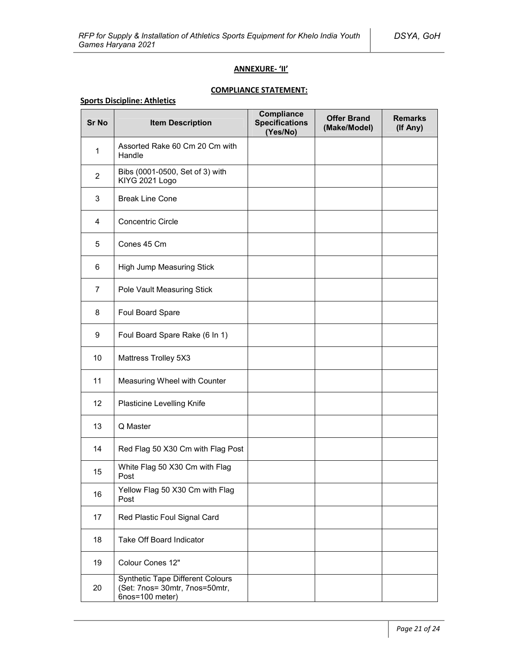### **ANNEXURE- 'II'**

# **COMPLIANCE STATEMENT:**

### **Sports Discipline: Athletics**

| <b>Sr No</b>   | <b>Item Description</b>                                                                      | Compliance<br><b>Specifications</b><br>(Yes/No) | <b>Offer Brand</b><br>(Make/Model) | <b>Remarks</b><br>(If Any) |
|----------------|----------------------------------------------------------------------------------------------|-------------------------------------------------|------------------------------------|----------------------------|
| $\mathbf{1}$   | Assorted Rake 60 Cm 20 Cm with<br>Handle                                                     |                                                 |                                    |                            |
| $\overline{2}$ | Bibs (0001-0500, Set of 3) with<br>KIYG 2021 Logo                                            |                                                 |                                    |                            |
| 3              | <b>Break Line Cone</b>                                                                       |                                                 |                                    |                            |
| 4              | <b>Concentric Circle</b>                                                                     |                                                 |                                    |                            |
| 5              | Cones 45 Cm                                                                                  |                                                 |                                    |                            |
| 6              | High Jump Measuring Stick                                                                    |                                                 |                                    |                            |
| $\overline{7}$ | Pole Vault Measuring Stick                                                                   |                                                 |                                    |                            |
| 8              | Foul Board Spare                                                                             |                                                 |                                    |                            |
| 9              | Foul Board Spare Rake (6 In 1)                                                               |                                                 |                                    |                            |
| 10             | Mattress Trolley 5X3                                                                         |                                                 |                                    |                            |
| 11             | Measuring Wheel with Counter                                                                 |                                                 |                                    |                            |
| 12             | Plasticine Levelling Knife                                                                   |                                                 |                                    |                            |
| 13             | Q Master                                                                                     |                                                 |                                    |                            |
| 14             | Red Flag 50 X30 Cm with Flag Post                                                            |                                                 |                                    |                            |
| 15             | White Flag 50 X30 Cm with Flag<br>Post                                                       |                                                 |                                    |                            |
| 16             | Yellow Flag 50 X30 Cm with Flag<br>Post                                                      |                                                 |                                    |                            |
| 17             | Red Plastic Foul Signal Card                                                                 |                                                 |                                    |                            |
| 18             | Take Off Board Indicator                                                                     |                                                 |                                    |                            |
| 19             | Colour Cones 12"                                                                             |                                                 |                                    |                            |
| 20             | <b>Synthetic Tape Different Colours</b><br>(Set: 7nos= 30mtr, 7nos=50mtr,<br>6nos=100 meter) |                                                 |                                    |                            |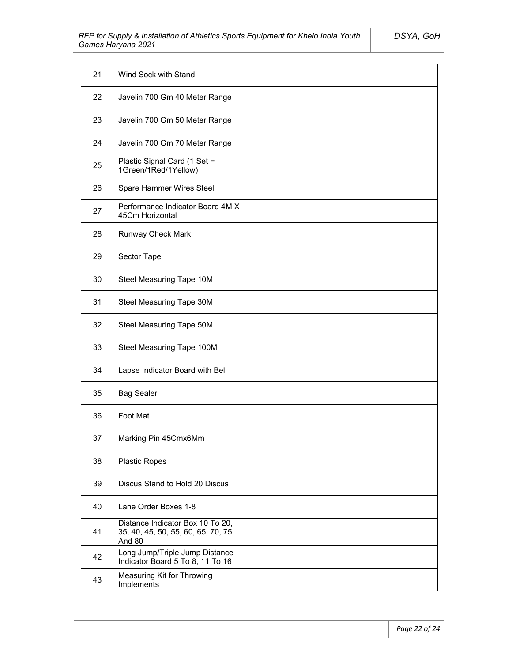| 21 | Wind Sock with Stand                                                             |  |  |
|----|----------------------------------------------------------------------------------|--|--|
| 22 | Javelin 700 Gm 40 Meter Range                                                    |  |  |
| 23 | Javelin 700 Gm 50 Meter Range                                                    |  |  |
| 24 | Javelin 700 Gm 70 Meter Range                                                    |  |  |
| 25 | Plastic Signal Card (1 Set =<br>1Green/1Red/1Yellow)                             |  |  |
| 26 | Spare Hammer Wires Steel                                                         |  |  |
| 27 | Performance Indicator Board 4M X<br>45Cm Horizontal                              |  |  |
| 28 | Runway Check Mark                                                                |  |  |
| 29 | Sector Tape                                                                      |  |  |
| 30 | Steel Measuring Tape 10M                                                         |  |  |
| 31 | Steel Measuring Tape 30M                                                         |  |  |
| 32 | Steel Measuring Tape 50M                                                         |  |  |
| 33 | Steel Measuring Tape 100M                                                        |  |  |
| 34 | Lapse Indicator Board with Bell                                                  |  |  |
| 35 | <b>Bag Sealer</b>                                                                |  |  |
| 36 | Foot Mat                                                                         |  |  |
| 37 | Marking Pin 45Cmx6Mm                                                             |  |  |
| 38 | <b>Plastic Ropes</b>                                                             |  |  |
| 39 | Discus Stand to Hold 20 Discus                                                   |  |  |
| 40 | Lane Order Boxes 1-8                                                             |  |  |
| 41 | Distance Indicator Box 10 To 20,<br>35, 40, 45, 50, 55, 60, 65, 70, 75<br>And 80 |  |  |
| 42 | Long Jump/Triple Jump Distance<br>Indicator Board 5 To 8, 11 To 16               |  |  |
| 43 | Measuring Kit for Throwing<br>Implements                                         |  |  |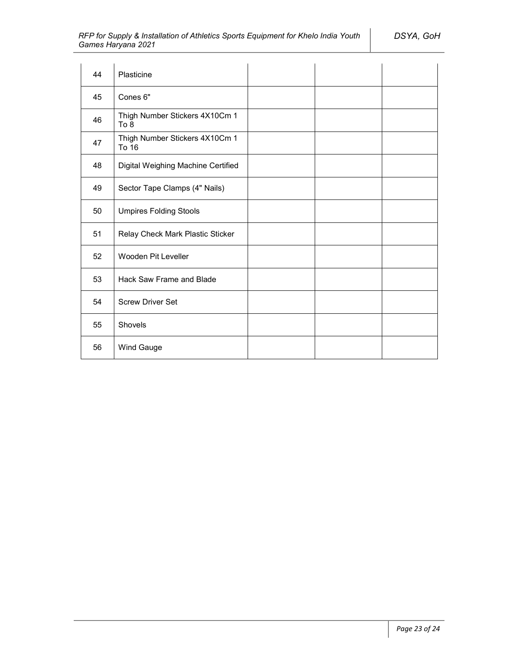| 44 | Plasticine                              |  |  |
|----|-----------------------------------------|--|--|
| 45 | Cones <sub>6"</sub>                     |  |  |
| 46 | Thigh Number Stickers 4X10Cm 1<br>To 8  |  |  |
| 47 | Thigh Number Stickers 4X10Cm 1<br>To 16 |  |  |
| 48 | Digital Weighing Machine Certified      |  |  |
| 49 | Sector Tape Clamps (4" Nails)           |  |  |
| 50 | <b>Umpires Folding Stools</b>           |  |  |
| 51 | Relay Check Mark Plastic Sticker        |  |  |
| 52 | Wooden Pit Leveller                     |  |  |
| 53 | Hack Saw Frame and Blade                |  |  |
| 54 | <b>Screw Driver Set</b>                 |  |  |
| 55 | Shovels                                 |  |  |
| 56 | Wind Gauge                              |  |  |